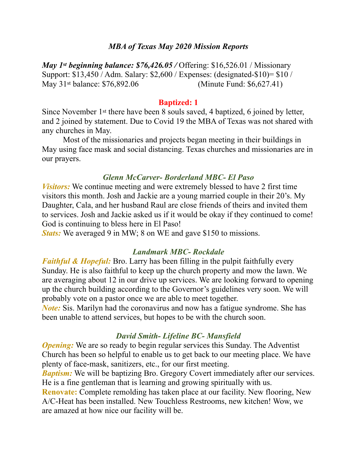### *MBA of Texas May 2020 Mission Reports*

*May 1st beginning balance: \$76,426.05 / Offering: \$16,526.01 / Missionary* Support: \$13,450 / Adm. Salary: \$2,600 / Expenses: (designated-\$10)= \$10 / May 31st balance: \$76,892.06 (Minute Fund: \$6,627.41)

#### **Baptized: 1**

Since November 1st there have been 8 souls saved, 4 baptized, 6 joined by letter, and 2 joined by statement. Due to Covid 19 the MBA of Texas was not shared with any churches in May.

 Most of the missionaries and projects began meeting in their buildings in May using face mask and social distancing. Texas churches and missionaries are in our prayers.

### *Glenn McCarver- Borderland MBC- El Paso*

*Visitors:* We continue meeting and were extremely blessed to have 2 first time visitors this month. Josh and Jackie are a young married couple in their 20's. My Daughter, Cala, and her husband Raul are close friends of theirs and invited them to services. Josh and Jackie asked us if it would be okay if they continued to come! God is continuing to bless here in El Paso!

*Stats:* We averaged 9 in MW; 8 on WE and gave \$150 to missions.

### *Landmark MBC- Rockdale*

*Faithful & Hopeful:* Bro. Larry has been filling in the pulpit faithfully every Sunday. He is also faithful to keep up the church property and mow the lawn. We are averaging about 12 in our drive up services. We are looking forward to opening up the church building according to the Governor's guidelines very soon. We will probably vote on a pastor once we are able to meet together.

*Note:* Sis. Marilyn had the coronavirus and now has a fatigue syndrome. She has been unable to attend services, but hopes to be with the church soon.

## *David Smith- Lifeline BC- Mansfield*

*Opening:* We are so ready to begin regular services this Sunday. The Adventist Church has been so helpful to enable us to get back to our meeting place. We have plenty of face-mask, sanitizers, etc., for our first meeting.

*Baptism:* We will be baptizing Bro. Gregory Covert immediately after our services. He is a fine gentleman that is learning and growing spiritually with us. **Renovate:** Complete remolding has taken place at our facility. New flooring, New A/C-Heat has been installed. New Touchless Restrooms, new kitchen! Wow, we are amazed at how nice our facility will be.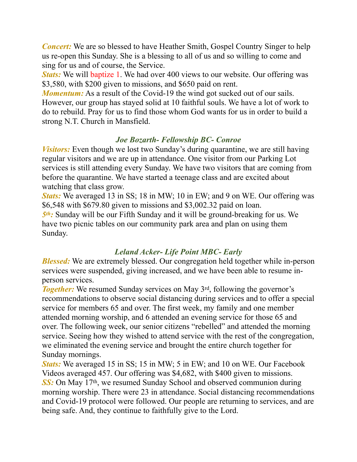*Concert:* We are so blessed to have Heather Smith, Gospel Country Singer to help us re-open this Sunday. She is a blessing to all of us and so willing to come and sing for us and of course, the Service.

*Stats:* We will baptize 1. We had over 400 views to our website. Our offering was \$3,580, with \$200 given to missions, and \$650 paid on rent.

*Momentum:* As a result of the Covid-19 the wind got sucked out of our sails. However, our group has stayed solid at 10 faithful souls. We have a lot of work to do to rebuild. Pray for us to find those whom God wants for us in order to build a strong N.T. Church in Mansfield.

## *Joe Bozarth- Fellowship BC- Conroe*

*Visitors:* Even though we lost two Sunday's during quarantine, we are still having regular visitors and we are up in attendance. One visitor from our Parking Lot services is still attending every Sunday. We have two visitors that are coming from before the quarantine. We have started a teenage class and are excited about watching that class grow.

*Stats:* We averaged 13 in SS; 18 in MW; 10 in EW; and 9 on WE. Our offering was \$6,548 with \$679.80 given to missions and \$3,002.32 paid on loan. *5th:* Sunday will be our Fifth Sunday and it will be ground-breaking for us. We have two picnic tables on our community park area and plan on using them

Sunday.

## *Leland Acker- Life Point MBC- Early*

*Blessed:* We are extremely blessed. Our congregation held together while in-person services were suspended, giving increased, and we have been able to resume inperson services.

**Together:** We resumed Sunday services on May 3<sup>rd</sup>, following the governor's recommendations to observe social distancing during services and to offer a special service for members 65 and over. The first week, my family and one member attended morning worship, and 6 attended an evening service for those 65 and over. The following week, our senior citizens "rebelled" and attended the morning service. Seeing how they wished to attend service with the rest of the congregation, we eliminated the evening service and brought the entire church together for Sunday mornings.

*Stats:* We averaged 15 in SS; 15 in MW; 5 in EW; and 10 on WE. Our Facebook Videos averaged 457. Our offering was \$4,682, with \$400 given to missions. **SS:** On May 17<sup>th</sup>, we resumed Sunday School and observed communion during morning worship. There were 23 in attendance. Social distancing recommendations and Covid-19 protocol were followed. Our people are returning to services, and are being safe. And, they continue to faithfully give to the Lord.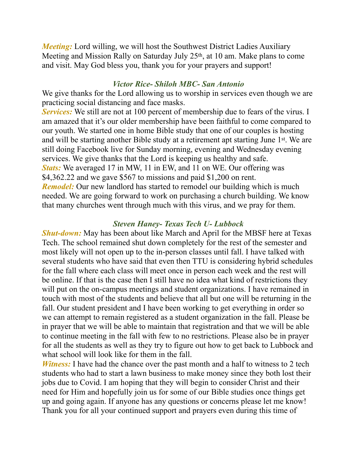*Meeting:* Lord willing, we will host the Southwest District Ladies Auxiliary Meeting and Mission Rally on Saturday July 25<sup>th</sup>, at 10 am. Make plans to come and visit. May God bless you, thank you for your prayers and support!

### *Victor Rice- Shiloh MBC- San Antonio*

We give thanks for the Lord allowing us to worship in services even though we are practicing social distancing and face masks.

**Services:** We still are not at 100 percent of membership due to fears of the virus. I am amazed that it's our older membership have been faithful to come compared to our youth. We started one in home Bible study that one of our couples is hosting and will be starting another Bible study at a retirement apt starting June 1st. We are still doing Facebook live for Sunday morning, evening and Wednesday evening services. We give thanks that the Lord is keeping us healthy and safe. *Stats:* We averaged 17 in MW, 11 in EW, and 11 on WE. Our offering was \$4,362.22 and we gave \$567 to missions and paid \$1,200 on rent. *Remodel:* Our new landlord has started to remodel our building which is much needed. We are going forward to work on purchasing a church building. We know that many churches went through much with this virus, and we pray for them.

## *Steven Haney- Texas Tech U- Lubbock*

*Shut-down:* May has been about like March and April for the MBSF here at Texas Tech. The school remained shut down completely for the rest of the semester and most likely will not open up to the in-person classes until fall. I have talked with several students who have said that even then TTU is considering hybrid schedules for the fall where each class will meet once in person each week and the rest will be online. If that is the case then I still have no idea what kind of restrictions they will put on the on-campus meetings and student organizations. I have remained in touch with most of the students and believe that all but one will be returning in the fall. Our student president and I have been working to get everything in order so we can attempt to remain registered as a student organization in the fall. Please be in prayer that we will be able to maintain that registration and that we will be able to continue meeting in the fall with few to no restrictions. Please also be in prayer for all the students as well as they try to figure out how to get back to Lubbock and what school will look like for them in the fall.

*Witness:* I have had the chance over the past month and a half to witness to 2 tech students who had to start a lawn business to make money since they both lost their jobs due to Covid. I am hoping that they will begin to consider Christ and their need for Him and hopefully join us for some of our Bible studies once things get up and going again. If anyone has any questions or concerns please let me know! Thank you for all your continued support and prayers even during this time of